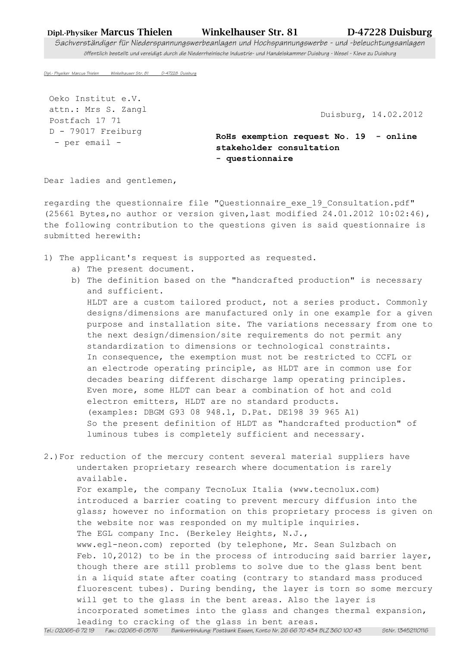## Dipl.-Physiker Marcus Thielen Winkelhauser Str. 81 D-47228 Duisburg

Sachverständiger für Niederspannungswerbeanlagen und Hochspannungswerbe - und -beleuchtungsanlagen öffentlich bestellt und vereidigt durch die Niederrheinische Industrie- und Handelskammer Duisburg - Wesel - Kleve zu Duisburg

Dipl.- Physiker Marcus Thielen Winkelhauser Str. 81 D-47228 Duisburg

 Oeko Institut e.V. attn.: Mrs S. Zangl Postfach 17 71 D - 79017 Freiburg - per email -

Duisburg, 14.02.2012

**RoHs exemption request No. 19 - online stakeholder consultation - questionnaire**

Dear ladies and gentlemen,

regarding the questionnaire file "Questionnaire exe 19 Consultation.pdf" (25661 Bytes,no author or version given,last modified 24.01.2012 10:02:46), the following contribution to the questions given is said questionnaire is submitted herewith:

- 1) The applicant's request is supported as requested.
	- a) The present document.
	- b) The definition based on the "handcrafted production" is necessary and sufficient.

 HLDT are a custom tailored product, not a series product. Commonly designs/dimensions are manufactured only in one example for a given purpose and installation site. The variations necessary from one to the next design/dimension/site requirements do not permit any standardization to dimensions or technological constraints. In consequence, the exemption must not be restricted to CCFL or an electrode operating principle, as HLDT are in common use for decades bearing different discharge lamp operating principles. Even more, some HLDT can bear a combination of hot and cold electron emitters, HLDT are no standard products. (examples: DBGM G93 08 948.1, D.Pat. DE198 39 965 A1) So the present definition of HLDT as "handcrafted production" of luminous tubes is completely sufficient and necessary.

2.)For reduction of the mercury content several material suppliers have undertaken proprietary research where documentation is rarely available. For example, the company TecnoLux Italia (www.tecnolux.com) introduced a barrier coating to prevent mercury diffusion into the glass; however no information on this proprietary process is given on the website nor was responded on my multiple inquiries. The EGL company Inc. (Berkeley Heights, N.J., www.egl-neon.com) reported (by telephone, Mr. Sean Sulzbach on Feb. 10,2012) to be in the process of introducing said barrier layer, though there are still problems to solve due to the glass bent bent in a liquid state after coating (contrary to standard mass produced fluorescent tubes). During bending, the layer is torn so some mercury will get to the glass in the bent areas. Also the layer is incorporated sometimes into the glass and changes thermal expansion, leading to cracking of the glass in bent areas. Tel.: 02065-6 72 19 Fax.: 02065-6 0576 Bankverbindung: Postbank Essen, Konto Nr. 26 66 70 434 BLZ 360 100 43 StNr. 13452110116